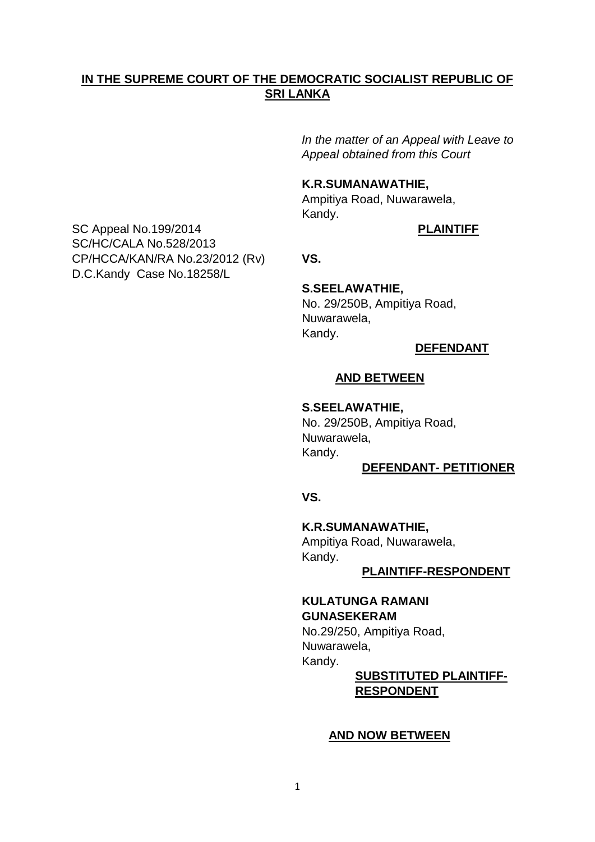## **IN THE SUPREME COURT OF THE DEMOCRATIC SOCIALIST REPUBLIC OF SRI LANKA**

*In the matter of an Appeal with Leave to Appeal obtained from this Court*

## **K.R.SUMANAWATHIE,**

 Ampitiya Road, Nuwarawela, Kandy.

SC Appeal No.199/2014 **PLAINTIFF** SC/HC/CALA No.528/2013 CP/HCCA/KAN/RA No.23/2012 (Rv) **VS.** D.C.Kandy Case No.18258/L

 **S.SEELAWATHIE,** No. 29/250B, Ampitiya Road, Nuwarawela, Kandy.

### **DEFENDANT**

#### **AND BETWEEN**

**S.SEELAWATHIE,**

No. 29/250B, Ampitiya Road, Nuwarawela, Kandy.

### **DEFENDANT- PETITIONER**

*START CONTROLLER START WAS START WAS .* 

 **K.R.SUMANAWATHIE,**

Ampitiya Road, Nuwarawela, Kandy.

 **PLAINTIFF-RESPONDENT** 

#### **KULATUNGA RAMANI GUNASEKERAM**

No.29/250, Ampitiya Road, Nuwarawela, Kandy.

## **SUBSTITUTED PLAINTIFF- RESPONDENT**

#### **AND NOW BETWEEN**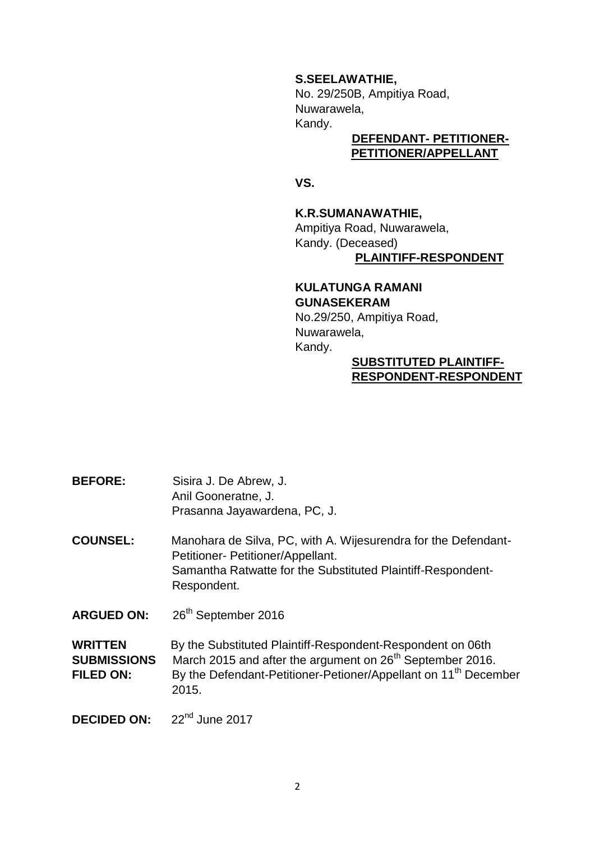**S.SEELAWATHIE,**

No. 29/250B, Ampitiya Road, Nuwarawela, Kandy.

## **DEFENDANT- PETITIONER- PETITIONER/APPELLANT**

*<u> VS.</u>* 

## **K.R.SUMANAWATHIE,**

Ampitiya Road, Nuwarawela, Kandy. (Deceased) **PLAINTIFF-RESPONDENT** 

# **KULATUNGA RAMANI GUNASEKERAM**

No.29/250, Ampitiya Road, Nuwarawela, Kandy.

## **SUBSTITUTED PLAINTIFF- RESPONDENT-RESPONDENT**

**BEFORE:** Sisira J. De Abrew, J. Anil Gooneratne, J. Prasanna Jayawardena, PC, J.

**COUNSEL:** Manohara de Silva, PC, with A. Wijesurendra for the Defendant- Petitioner- Petitioner/Appellant. Samantha Ratwatte for the Substituted Plaintiff-Respondent- Respondent.

**ARGUED ON:** 26th September 2016

**WRITTEN** By the Substituted Plaintiff-Respondent-Respondent on 06th **SUBMISSIONS** March 2015 and after the argument on 26<sup>th</sup> September 2016. **FILED ON:** By the Defendant-Petitioner-Petioner/Appellant on 11<sup>th</sup> December 2015.

**DECIDED ON:**  $22<sup>nd</sup>$  June 2017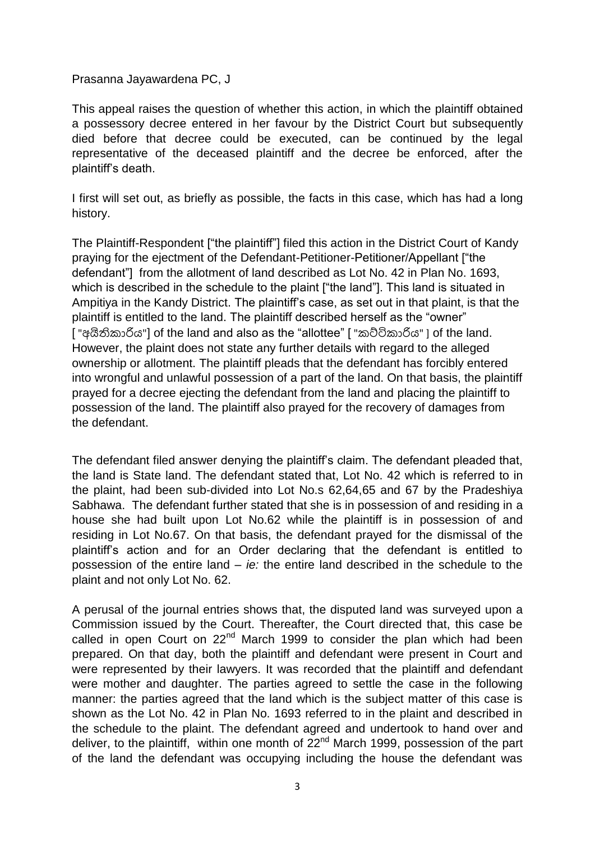Prasanna Jayawardena PC, J

This appeal raises the question of whether this action, in which the plaintiff obtained a possessory decree entered in her favour by the District Court but subsequently died before that decree could be executed, can be continued by the legal representative of the deceased plaintiff and the decree be enforced, after the plaintiff's death.

I first will set out, as briefly as possible, the facts in this case, which has had a long history.

The Plaintiff-Respondent ["the plaintiff"] filed this action in the District Court of Kandy praying for the ejectment of the Defendant-Petitioner-Petitioner/Appellant ["the defendant"] from the allotment of land described as Lot No. 42 in Plan No. 1693, which is described in the schedule to the plaint ["the land"]. This land is situated in Ampitiya in the Kandy District. The plaintiff's case, as set out in that plaint, is that the plaintiff is entitled to the land. The plaintiff described herself as the "owner" ["අයිතිකාරිය"] of the land and also as the "allottee" ["කට්ටිකාරිය" ] of the land. However, the plaint does not state any further details with regard to the alleged ownership or allotment. The plaintiff pleads that the defendant has forcibly entered into wrongful and unlawful possession of a part of the land. On that basis, the plaintiff prayed for a decree ejecting the defendant from the land and placing the plaintiff to possession of the land. The plaintiff also prayed for the recovery of damages from the defendant.

The defendant filed answer denying the plaintiff's claim. The defendant pleaded that, the land is State land. The defendant stated that, Lot No. 42 which is referred to in the plaint, had been sub-divided into Lot No.s 62,64,65 and 67 by the Pradeshiya Sabhawa. The defendant further stated that she is in possession of and residing in a house she had built upon Lot No.62 while the plaintiff is in possession of and residing in Lot No.67. On that basis, the defendant prayed for the dismissal of the plaintiff's action and for an Order declaring that the defendant is entitled to possession of the entire land – *ie:* the entire land described in the schedule to the plaint and not only Lot No. 62.

A perusal of the journal entries shows that, the disputed land was surveyed upon a Commission issued by the Court. Thereafter, the Court directed that, this case be called in open Court on  $22<sup>nd</sup>$  March 1999 to consider the plan which had been prepared. On that day, both the plaintiff and defendant were present in Court and were represented by their lawyers. It was recorded that the plaintiff and defendant were mother and daughter. The parties agreed to settle the case in the following manner: the parties agreed that the land which is the subject matter of this case is shown as the Lot No. 42 in Plan No. 1693 referred to in the plaint and described in the schedule to the plaint. The defendant agreed and undertook to hand over and deliver, to the plaintiff, within one month of  $22<sup>nd</sup>$  March 1999, possession of the part of the land the defendant was occupying including the house the defendant was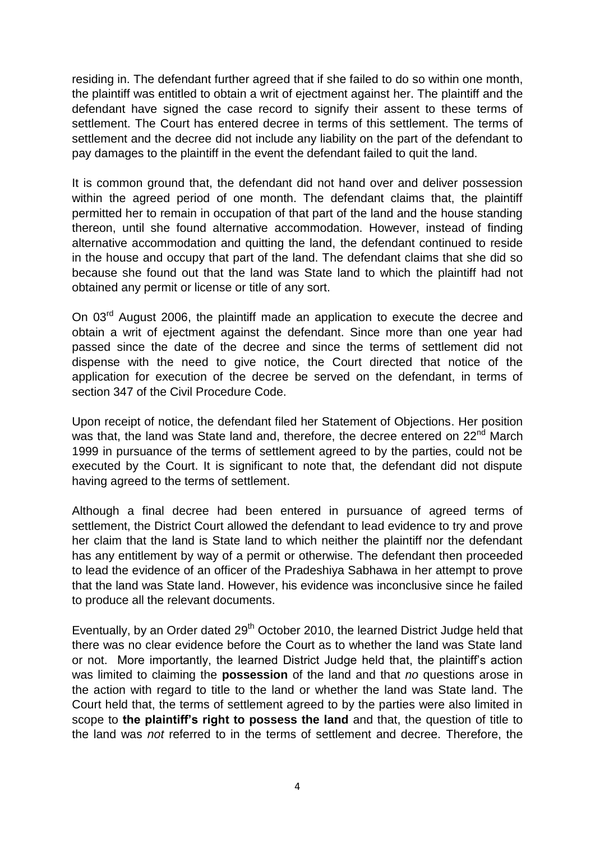residing in. The defendant further agreed that if she failed to do so within one month, the plaintiff was entitled to obtain a writ of ejectment against her. The plaintiff and the defendant have signed the case record to signify their assent to these terms of settlement. The Court has entered decree in terms of this settlement. The terms of settlement and the decree did not include any liability on the part of the defendant to pay damages to the plaintiff in the event the defendant failed to quit the land.

It is common ground that, the defendant did not hand over and deliver possession within the agreed period of one month. The defendant claims that, the plaintiff permitted her to remain in occupation of that part of the land and the house standing thereon, until she found alternative accommodation. However, instead of finding alternative accommodation and quitting the land, the defendant continued to reside in the house and occupy that part of the land. The defendant claims that she did so because she found out that the land was State land to which the plaintiff had not obtained any permit or license or title of any sort.

On 03<sup>rd</sup> August 2006, the plaintiff made an application to execute the decree and obtain a writ of ejectment against the defendant. Since more than one year had passed since the date of the decree and since the terms of settlement did not dispense with the need to give notice, the Court directed that notice of the application for execution of the decree be served on the defendant, in terms of section 347 of the Civil Procedure Code.

Upon receipt of notice, the defendant filed her Statement of Objections. Her position was that, the land was State land and, therefore, the decree entered on 22<sup>nd</sup> March 1999 in pursuance of the terms of settlement agreed to by the parties, could not be executed by the Court. It is significant to note that, the defendant did not dispute having agreed to the terms of settlement.

Although a final decree had been entered in pursuance of agreed terms of settlement, the District Court allowed the defendant to lead evidence to try and prove her claim that the land is State land to which neither the plaintiff nor the defendant has any entitlement by way of a permit or otherwise. The defendant then proceeded to lead the evidence of an officer of the Pradeshiya Sabhawa in her attempt to prove that the land was State land. However, his evidence was inconclusive since he failed to produce all the relevant documents.

Eventually, by an Order dated  $29<sup>th</sup>$  October 2010, the learned District Judge held that there was no clear evidence before the Court as to whether the land was State land or not. More importantly, the learned District Judge held that, the plaintiff's action was limited to claiming the **possession** of the land and that *no* questions arose in the action with regard to title to the land or whether the land was State land. The Court held that, the terms of settlement agreed to by the parties were also limited in scope to **the plaintiff's right to possess the land** and that, the question of title to the land was *not* referred to in the terms of settlement and decree. Therefore, the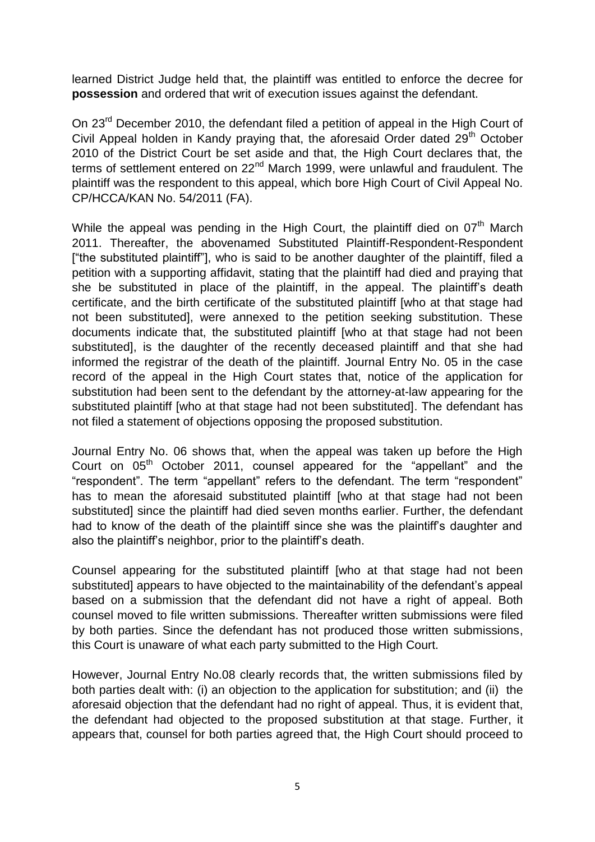learned District Judge held that, the plaintiff was entitled to enforce the decree for **possession** and ordered that writ of execution issues against the defendant.

On 23<sup>rd</sup> December 2010, the defendant filed a petition of appeal in the High Court of Civil Appeal holden in Kandy praying that, the aforesaid Order dated 29<sup>th</sup> October 2010 of the District Court be set aside and that, the High Court declares that, the terms of settlement entered on 22<sup>nd</sup> March 1999, were unlawful and fraudulent. The plaintiff was the respondent to this appeal, which bore High Court of Civil Appeal No. CP/HCCA/KAN No. 54/2011 (FA).

While the appeal was pending in the High Court, the plaintiff died on  $07<sup>th</sup>$  March 2011. Thereafter, the abovenamed Substituted Plaintiff-Respondent-Respondent ["the substituted plaintiff"], who is said to be another daughter of the plaintiff, filed a petition with a supporting affidavit, stating that the plaintiff had died and praying that she be substituted in place of the plaintiff, in the appeal. The plaintiff's death certificate, and the birth certificate of the substituted plaintiff [who at that stage had not been substituted], were annexed to the petition seeking substitution. These documents indicate that, the substituted plaintiff [who at that stage had not been substituted], is the daughter of the recently deceased plaintiff and that she had informed the registrar of the death of the plaintiff. Journal Entry No. 05 in the case record of the appeal in the High Court states that, notice of the application for substitution had been sent to the defendant by the attorney-at-law appearing for the substituted plaintiff [who at that stage had not been substituted]. The defendant has not filed a statement of objections opposing the proposed substitution.

Journal Entry No. 06 shows that, when the appeal was taken up before the High Court on 05<sup>th</sup> October 2011, counsel appeared for the "appellant" and the "respondent". The term "appellant" refers to the defendant. The term "respondent" has to mean the aforesaid substituted plaintiff [who at that stage had not been substituted] since the plaintiff had died seven months earlier. Further, the defendant had to know of the death of the plaintiff since she was the plaintiff's daughter and also the plaintiff's neighbor, prior to the plaintiff's death.

Counsel appearing for the substituted plaintiff [who at that stage had not been substituted] appears to have objected to the maintainability of the defendant's appeal based on a submission that the defendant did not have a right of appeal. Both counsel moved to file written submissions. Thereafter written submissions were filed by both parties. Since the defendant has not produced those written submissions, this Court is unaware of what each party submitted to the High Court.

However, Journal Entry No.08 clearly records that, the written submissions filed by both parties dealt with: (i) an objection to the application for substitution; and (ii) the aforesaid objection that the defendant had no right of appeal. Thus, it is evident that, the defendant had objected to the proposed substitution at that stage. Further, it appears that, counsel for both parties agreed that, the High Court should proceed to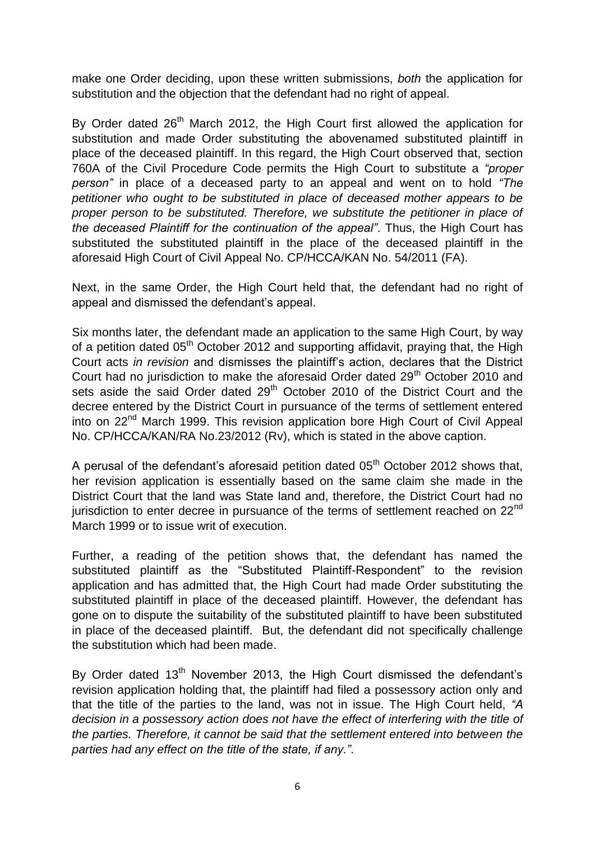make one Order deciding, upon these written submissions, *both* the application for substitution and the objection that the defendant had no right of appeal.

By Order dated 26<sup>th</sup> March 2012, the High Court first allowed the application for substitution and made Order substituting the abovenamed substituted plaintiff in place of the deceased plaintiff. In this regard, the High Court observed that, section 760A of the Civil Procedure Code permits the High Court to substitute a *"proper person"* in place of a deceased party to an appeal and went on to hold *"The petitioner who ought to be substituted in place of deceased mother appears to be proper person to be substituted. Therefore, we substitute the petitioner in place of the deceased Plaintiff for the continuation of the appeal"*. Thus, the High Court has substituted the substituted plaintiff in the place of the deceased plaintiff in the aforesaid High Court of Civil Appeal No. CP/HCCA/KAN No. 54/2011 (FA).

Next, in the same Order, the High Court held that, the defendant had no right of appeal and dismissed the defendant's appeal.

Six months later, the defendant made an application to the same High Court, by way of a petition dated 05<sup>th</sup> October 2012 and supporting affidavit, praying that, the High Court acts *in revision* and dismisses the plaintiff's action, declares that the District Court had no jurisdiction to make the aforesaid Order dated 29<sup>th</sup> October 2010 and sets aside the said Order dated 29<sup>th</sup> October 2010 of the District Court and the decree entered by the District Court in pursuance of the terms of settlement entered into on 22<sup>nd</sup> March 1999. This revision application bore High Court of Civil Appeal No. CP/HCCA/KAN/RA No.23/2012 (Rv), which is stated in the above caption.

A perusal of the defendant's aforesaid petition dated  $05<sup>th</sup>$  October 2012 shows that, her revision application is essentially based on the same claim she made in the District Court that the land was State land and, therefore, the District Court had no jurisdiction to enter decree in pursuance of the terms of settlement reached on  $22<sup>nd</sup>$ March 1999 or to issue writ of execution.

Further, a reading of the petition shows that, the defendant has named the substituted plaintiff as the "Substituted Plaintiff-Respondent" to the revision application and has admitted that, the High Court had made Order substituting the substituted plaintiff in place of the deceased plaintiff. However, the defendant has gone on to dispute the suitability of the substituted plaintiff to have been substituted in place of the deceased plaintiff. But, the defendant did not specifically challenge the substitution which had been made.

By Order dated  $13<sup>th</sup>$  November 2013, the High Court dismissed the defendant's revision application holding that, the plaintiff had filed a possessory action only and that the title of the parties to the land, was not in issue. The High Court held, *"A decision in a possessory action does not have the effect of interfering with the title of the parties. Therefore, it cannot be said that the settlement entered into between the parties had any effect on the title of the state, if any."*.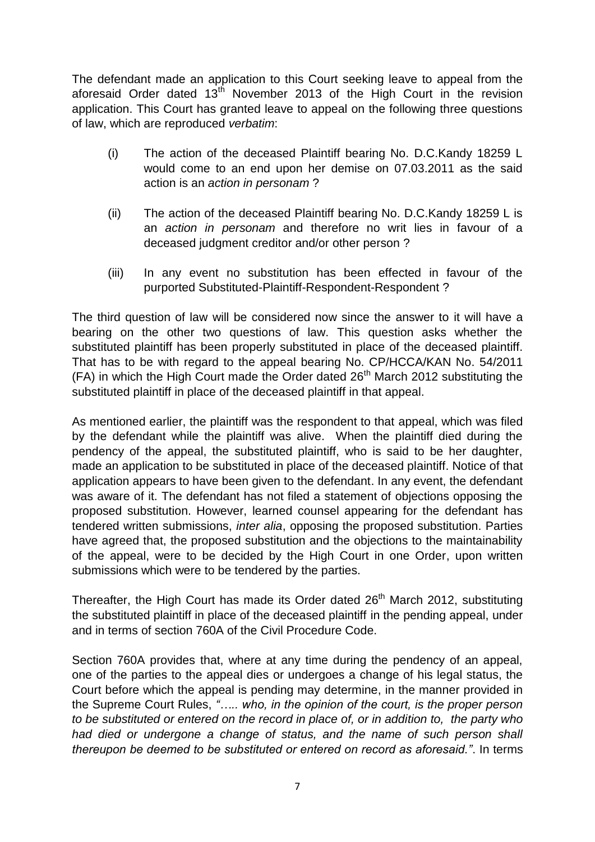The defendant made an application to this Court seeking leave to appeal from the aforesaid Order dated  $13<sup>th</sup>$  November 2013 of the High Court in the revision application. This Court has granted leave to appeal on the following three questions of law, which are reproduced *verbatim*:

- (i) The action of the deceased Plaintiff bearing No. D.C.Kandy 18259 L would come to an end upon her demise on 07.03.2011 as the said action is an *action in personam* ?
- (ii) The action of the deceased Plaintiff bearing No. D.C.Kandy 18259 L is an *action in personam* and therefore no writ lies in favour of a deceased judgment creditor and/or other person ?
- (iii) In any event no substitution has been effected in favour of the purported Substituted-Plaintiff-Respondent-Respondent ?

The third question of law will be considered now since the answer to it will have a bearing on the other two questions of law. This question asks whether the substituted plaintiff has been properly substituted in place of the deceased plaintiff. That has to be with regard to the appeal bearing No. CP/HCCA/KAN No. 54/2011  $(FA)$  in which the High Court made the Order dated  $26<sup>th</sup>$  March 2012 substituting the substituted plaintiff in place of the deceased plaintiff in that appeal.

As mentioned earlier, the plaintiff was the respondent to that appeal, which was filed by the defendant while the plaintiff was alive. When the plaintiff died during the pendency of the appeal, the substituted plaintiff, who is said to be her daughter, made an application to be substituted in place of the deceased plaintiff. Notice of that application appears to have been given to the defendant. In any event, the defendant was aware of it. The defendant has not filed a statement of objections opposing the proposed substitution. However, learned counsel appearing for the defendant has tendered written submissions, *inter alia*, opposing the proposed substitution. Parties have agreed that, the proposed substitution and the objections to the maintainability of the appeal, were to be decided by the High Court in one Order, upon written submissions which were to be tendered by the parties.

Thereafter, the High Court has made its Order dated 26<sup>th</sup> March 2012, substituting the substituted plaintiff in place of the deceased plaintiff in the pending appeal, under and in terms of section 760A of the Civil Procedure Code.

Section 760A provides that, where at any time during the pendency of an appeal, one of the parties to the appeal dies or undergoes a change of his legal status, the Court before which the appeal is pending may determine, in the manner provided in the Supreme Court Rules, *"….. who, in the opinion of the court, is the proper person to be substituted or entered on the record in place of, or in addition to, the party who had died or undergone a change of status, and the name of such person shall thereupon be deemed to be substituted or entered on record as aforesaid."*. In terms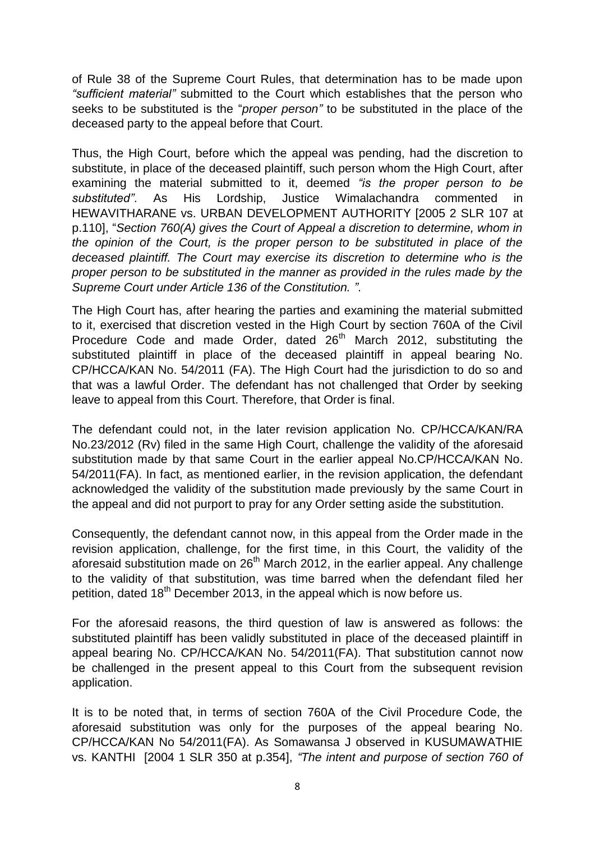of Rule 38 of the Supreme Court Rules, that determination has to be made upon *"sufficient material"* submitted to the Court which establishes that the person who seeks to be substituted is the "*proper person"* to be substituted in the place of the deceased party to the appeal before that Court.

Thus, the High Court, before which the appeal was pending, had the discretion to substitute, in place of the deceased plaintiff, such person whom the High Court, after examining the material submitted to it, deemed *"is the proper person to be substituted"*. As His Lordship, Justice Wimalachandra commented in HEWAVITHARANE vs. URBAN DEVELOPMENT AUTHORITY [2005 2 SLR 107 at p.110], "*Section 760(A) gives the Court of Appeal a discretion to determine, whom in the opinion of the Court, is the proper person to be substituted in place of the deceased plaintiff. The Court may exercise its discretion to determine who is the proper person to be substituted in the manner as provided in the rules made by the Supreme Court under Article 136 of the Constitution. "*.

The High Court has, after hearing the parties and examining the material submitted to it, exercised that discretion vested in the High Court by section 760A of the Civil Procedure Code and made Order, dated 26<sup>th</sup> March 2012, substituting the substituted plaintiff in place of the deceased plaintiff in appeal bearing No. CP/HCCA/KAN No. 54/2011 (FA). The High Court had the jurisdiction to do so and that was a lawful Order. The defendant has not challenged that Order by seeking leave to appeal from this Court. Therefore, that Order is final.

The defendant could not, in the later revision application No. CP/HCCA/KAN/RA No.23/2012 (Rv) filed in the same High Court, challenge the validity of the aforesaid substitution made by that same Court in the earlier appeal No.CP/HCCA/KAN No. 54/2011(FA). In fact, as mentioned earlier, in the revision application, the defendant acknowledged the validity of the substitution made previously by the same Court in the appeal and did not purport to pray for any Order setting aside the substitution.

Consequently, the defendant cannot now, in this appeal from the Order made in the revision application, challenge, for the first time, in this Court, the validity of the aforesaid substitution made on  $26<sup>th</sup>$  March 2012, in the earlier appeal. Any challenge to the validity of that substitution, was time barred when the defendant filed her petition, dated 18<sup>th</sup> December 2013, in the appeal which is now before us.

For the aforesaid reasons, the third question of law is answered as follows: the substituted plaintiff has been validly substituted in place of the deceased plaintiff in appeal bearing No. CP/HCCA/KAN No. 54/2011(FA). That substitution cannot now be challenged in the present appeal to this Court from the subsequent revision application.

It is to be noted that, in terms of section 760A of the Civil Procedure Code, the aforesaid substitution was only for the purposes of the appeal bearing No. CP/HCCA/KAN No 54/2011(FA). As Somawansa J observed in KUSUMAWATHIE vs. KANTHI [2004 1 SLR 350 at p.354], *"The intent and purpose of section 760 of*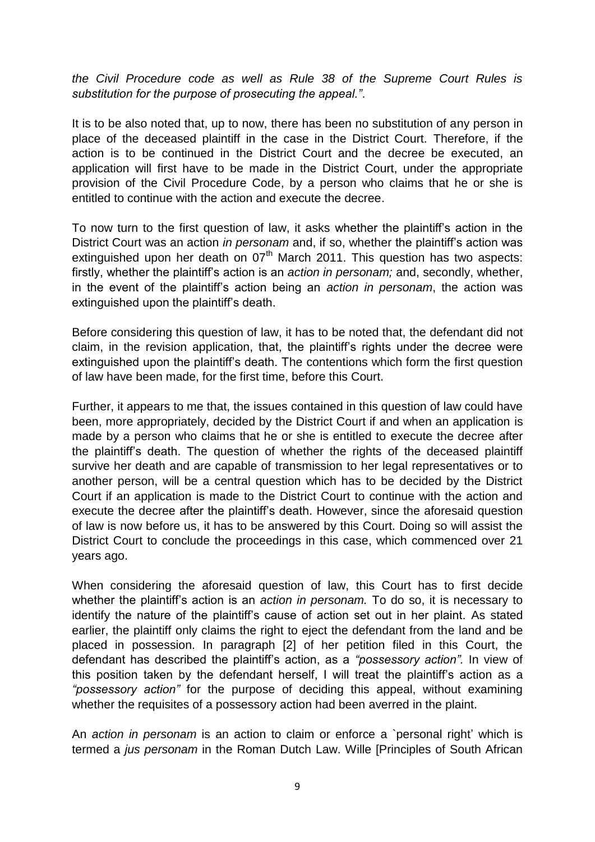*the Civil Procedure code as well as Rule 38 of the Supreme Court Rules is substitution for the purpose of prosecuting the appeal."*.

It is to be also noted that, up to now, there has been no substitution of any person in place of the deceased plaintiff in the case in the District Court. Therefore, if the action is to be continued in the District Court and the decree be executed, an application will first have to be made in the District Court, under the appropriate provision of the Civil Procedure Code, by a person who claims that he or she is entitled to continue with the action and execute the decree.

To now turn to the first question of law, it asks whether the plaintiff's action in the District Court was an action *in personam* and, if so, whether the plaintiff's action was extinguished upon her death on  $07<sup>th</sup>$  March 2011. This question has two aspects: firstly, whether the plaintiff's action is an *action in personam;* and, secondly, whether, in the event of the plaintiff's action being an *action in personam*, the action was extinguished upon the plaintiff's death.

Before considering this question of law, it has to be noted that, the defendant did not claim, in the revision application, that, the plaintiff's rights under the decree were extinguished upon the plaintiff's death. The contentions which form the first question of law have been made, for the first time, before this Court.

Further, it appears to me that, the issues contained in this question of law could have been, more appropriately, decided by the District Court if and when an application is made by a person who claims that he or she is entitled to execute the decree after the plaintiff's death. The question of whether the rights of the deceased plaintiff survive her death and are capable of transmission to her legal representatives or to another person, will be a central question which has to be decided by the District Court if an application is made to the District Court to continue with the action and execute the decree after the plaintiff's death. However, since the aforesaid question of law is now before us, it has to be answered by this Court. Doing so will assist the District Court to conclude the proceedings in this case, which commenced over 21 years ago.

When considering the aforesaid question of law, this Court has to first decide whether the plaintiff's action is an *action in personam.* To do so, it is necessary to identify the nature of the plaintiff's cause of action set out in her plaint. As stated earlier, the plaintiff only claims the right to eject the defendant from the land and be placed in possession. In paragraph [2] of her petition filed in this Court, the defendant has described the plaintiff's action, as a *"possessory action".* In view of this position taken by the defendant herself, I will treat the plaintiff's action as a *"possessory action"* for the purpose of deciding this appeal, without examining whether the requisites of a possessory action had been averred in the plaint.

An *action in personam* is an action to claim or enforce a `personal right' which is termed a *jus personam* in the Roman Dutch Law. Wille [Principles of South African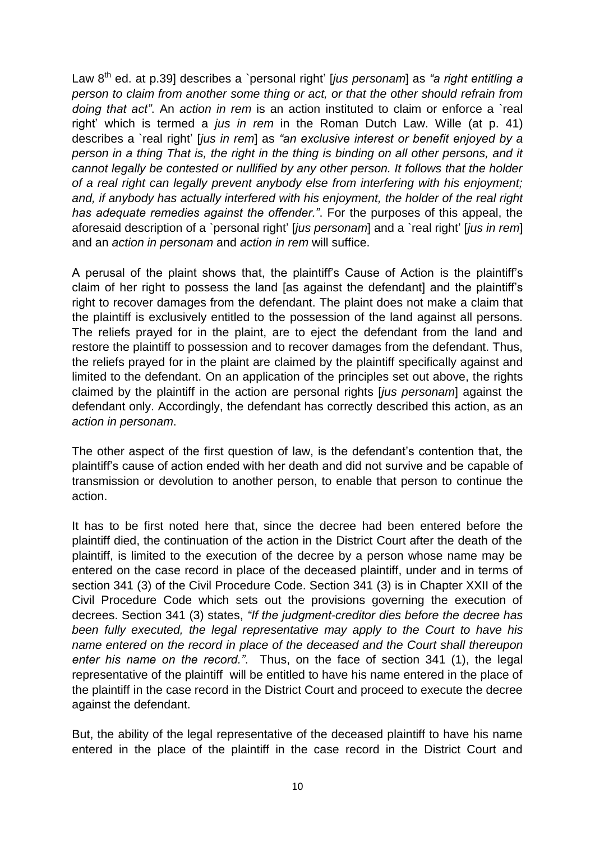Law 8 th ed. at p.39] describes a `personal right' [*jus personam*] as *"a right entitling a person to claim from another some thing or act, or that the other should refrain from doing that act"*. An *action in rem* is an action instituted to claim or enforce a `real right' which is termed a *jus in rem* in the Roman Dutch Law. Wille (at p. 41) describes a `real right' [*jus in rem*] as *"an exclusive interest or benefit enjoyed by a person in a thing That is, the right in the thing is binding on all other persons, and it cannot legally be contested or nullified by any other person. It follows that the holder of a real right can legally prevent anybody else from interfering with his enjoyment; and, if anybody has actually interfered with his enjoyment, the holder of the real right has adequate remedies against the offender."*. For the purposes of this appeal, the aforesaid description of a `personal right' [*jus personam*] and a `real right' [*jus in rem*] and an *action in personam* and *action in rem* will suffice.

A perusal of the plaint shows that, the plaintiff's Cause of Action is the plaintiff's claim of her right to possess the land [as against the defendant] and the plaintiff's right to recover damages from the defendant. The plaint does not make a claim that the plaintiff is exclusively entitled to the possession of the land against all persons. The reliefs prayed for in the plaint, are to eject the defendant from the land and restore the plaintiff to possession and to recover damages from the defendant. Thus, the reliefs prayed for in the plaint are claimed by the plaintiff specifically against and limited to the defendant. On an application of the principles set out above, the rights claimed by the plaintiff in the action are personal rights [*jus personam*] against the defendant only. Accordingly, the defendant has correctly described this action, as an *action in personam*.

The other aspect of the first question of law, is the defendant's contention that, the plaintiff's cause of action ended with her death and did not survive and be capable of transmission or devolution to another person, to enable that person to continue the action.

It has to be first noted here that, since the decree had been entered before the plaintiff died, the continuation of the action in the District Court after the death of the plaintiff, is limited to the execution of the decree by a person whose name may be entered on the case record in place of the deceased plaintiff, under and in terms of section 341 (3) of the Civil Procedure Code. Section 341 (3) is in Chapter XXII of the Civil Procedure Code which sets out the provisions governing the execution of decrees. Section 341 (3) states, *"If the judgment-creditor dies before the decree has been fully executed, the legal representative may apply to the Court to have his name entered on the record in place of the deceased and the Court shall thereupon enter his name on the record."*. Thus, on the face of section 341 (1), the legal representative of the plaintiff will be entitled to have his name entered in the place of the plaintiff in the case record in the District Court and proceed to execute the decree against the defendant.

But, the ability of the legal representative of the deceased plaintiff to have his name entered in the place of the plaintiff in the case record in the District Court and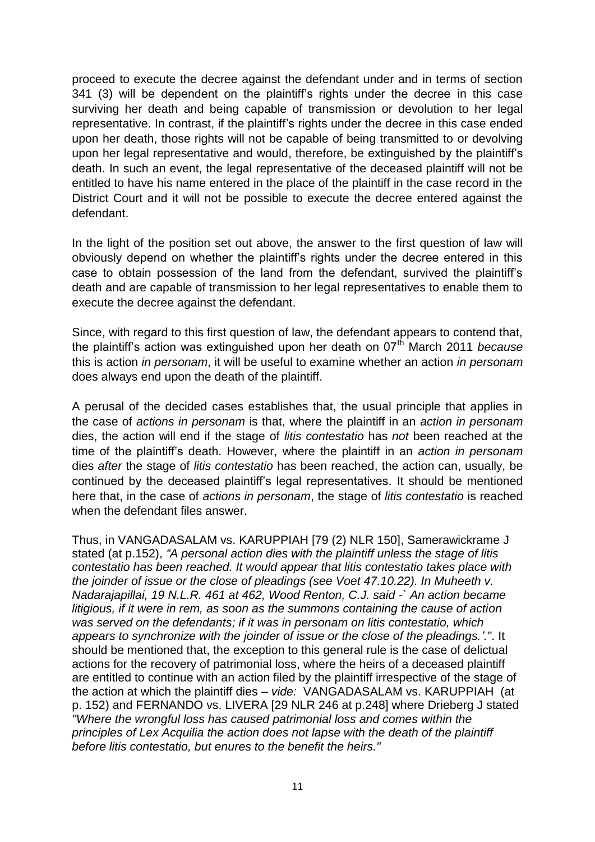proceed to execute the decree against the defendant under and in terms of section 341 (3) will be dependent on the plaintiff's rights under the decree in this case surviving her death and being capable of transmission or devolution to her legal representative. In contrast, if the plaintiff's rights under the decree in this case ended upon her death, those rights will not be capable of being transmitted to or devolving upon her legal representative and would, therefore, be extinguished by the plaintiff's death. In such an event, the legal representative of the deceased plaintiff will not be entitled to have his name entered in the place of the plaintiff in the case record in the District Court and it will not be possible to execute the decree entered against the defendant.

In the light of the position set out above, the answer to the first question of law will obviously depend on whether the plaintiff's rights under the decree entered in this case to obtain possession of the land from the defendant, survived the plaintiff's death and are capable of transmission to her legal representatives to enable them to execute the decree against the defendant.

Since, with regard to this first question of law, the defendant appears to contend that, the plaintiff's action was extinguished upon her death on 07th March 2011 *because* this is action *in personam*, it will be useful to examine whether an action *in personam*  does always end upon the death of the plaintiff.

A perusal of the decided cases establishes that, the usual principle that applies in the case of *actions in personam* is that, where the plaintiff in an *action in personam*  dies, the action will end if the stage of *litis contestatio* has *not* been reached at the time of the plaintiff's death. However, where the plaintiff in an *action in personam*  dies *after* the stage of *litis contestatio* has been reached, the action can, usually, be continued by the deceased plaintiff's legal representatives. It should be mentioned here that, in the case of *actions in personam*, the stage of *litis contestatio* is reached when the defendant files answer.

Thus, in VANGADASALAM vs. KARUPPIAH [79 (2) NLR 150], Samerawickrame J stated (at p.152), *"A personal action dies with the plaintiff unless the stage of litis contestatio has been reached. It would appear that litis contestatio takes place with the joinder of issue or the close of pleadings (see Voet 47.10.22). In Muheeth v. Nadarajapillai, 19 N.L.R. 461 at 462, Wood Renton, C.J. said -` An action became litigious, if it were in rem, as soon as the summons containing the cause of action was served on the defendants; if it was in personam on litis contestatio, which appears to synchronize with the joinder of issue or the close of the pleadings.'."*. It should be mentioned that, the exception to this general rule is the case of delictual actions for the recovery of patrimonial loss, where the heirs of a deceased plaintiff are entitled to continue with an action filed by the plaintiff irrespective of the stage of the action at which the plaintiff dies – *vide:* VANGADASALAM vs. KARUPPIAH (at p. 152) and FERNANDO vs. LIVERA [29 NLR 246 at p.248] where Drieberg J stated *"Where the wrongful loss has caused patrimonial loss and comes within the principles of Lex Acquilia the action does not lapse with the death of the plaintiff before litis contestatio, but enures to the benefit the heirs."*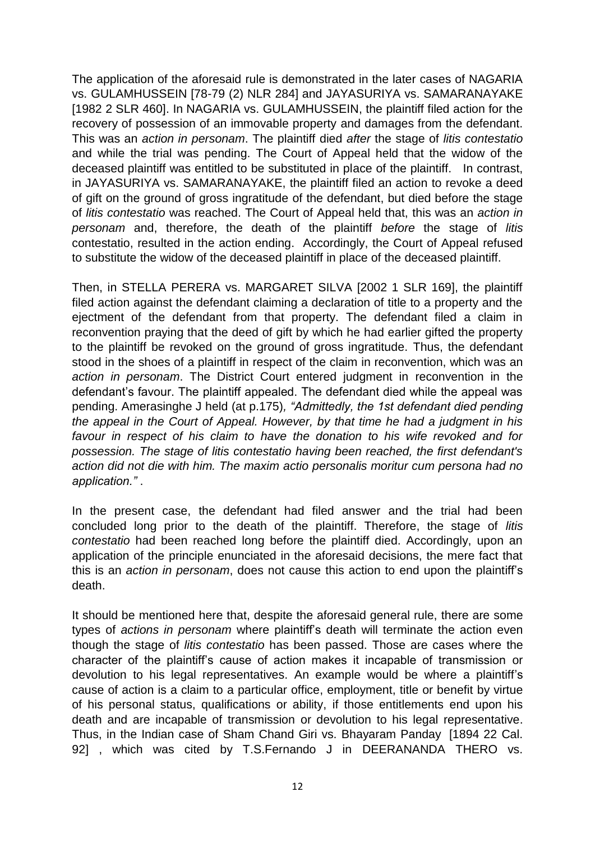The application of the aforesaid rule is demonstrated in the later cases of NAGARIA vs. GULAMHUSSEIN [78-79 (2) NLR 284] and JAYASURIYA vs. SAMARANAYAKE [1982 2 SLR 460]. In NAGARIA vs. GULAMHUSSEIN, the plaintiff filed action for the recovery of possession of an immovable property and damages from the defendant. This was an *action in personam*. The plaintiff died *after* the stage of *litis contestatio* and while the trial was pending. The Court of Appeal held that the widow of the deceased plaintiff was entitled to be substituted in place of the plaintiff. In contrast, in JAYASURIYA vs. SAMARANAYAKE, the plaintiff filed an action to revoke a deed of gift on the ground of gross ingratitude of the defendant, but died before the stage of *litis contestatio* was reached. The Court of Appeal held that, this was an *action in personam* and, therefore, the death of the plaintiff *before* the stage of *litis*  contestatio, resulted in the action ending. Accordingly, the Court of Appeal refused to substitute the widow of the deceased plaintiff in place of the deceased plaintiff.

Then, in STELLA PERERA vs. MARGARET SILVA [2002 1 SLR 169], the plaintiff filed action against the defendant claiming a declaration of title to a property and the ejectment of the defendant from that property. The defendant filed a claim in reconvention praying that the deed of gift by which he had earlier gifted the property to the plaintiff be revoked on the ground of gross ingratitude. Thus, the defendant stood in the shoes of a plaintiff in respect of the claim in reconvention, which was an *action in personam*. The District Court entered judgment in reconvention in the defendant's favour. The plaintiff appealed. The defendant died while the appeal was pending. Amerasinghe J held (at p.175)*, "Admittedly, the 1st defendant died pending the appeal in the Court of Appeal. However, by that time he had a judgment in his favour in respect of his claim to have the donation to his wife revoked and for possession. The stage of litis contestatio having been reached, the first defendant's action did not die with him. The maxim actio personalis moritur cum persona had no application."* .

In the present case, the defendant had filed answer and the trial had been concluded long prior to the death of the plaintiff. Therefore, the stage of *litis contestatio* had been reached long before the plaintiff died. Accordingly, upon an application of the principle enunciated in the aforesaid decisions, the mere fact that this is an *action in personam*, does not cause this action to end upon the plaintiff's death.

It should be mentioned here that, despite the aforesaid general rule, there are some types of *actions in personam* where plaintiff's death will terminate the action even though the stage of *litis contestatio* has been passed. Those are cases where the character of the plaintiff's cause of action makes it incapable of transmission or devolution to his legal representatives. An example would be where a plaintiff's cause of action is a claim to a particular office, employment, title or benefit by virtue of his personal status, qualifications or ability, if those entitlements end upon his death and are incapable of transmission or devolution to his legal representative. Thus, in the Indian case of Sham Chand Giri vs. Bhayaram Panday [1894 22 Cal. 92], which was cited by T.S.Fernando J in DEERANANDA THERO vs.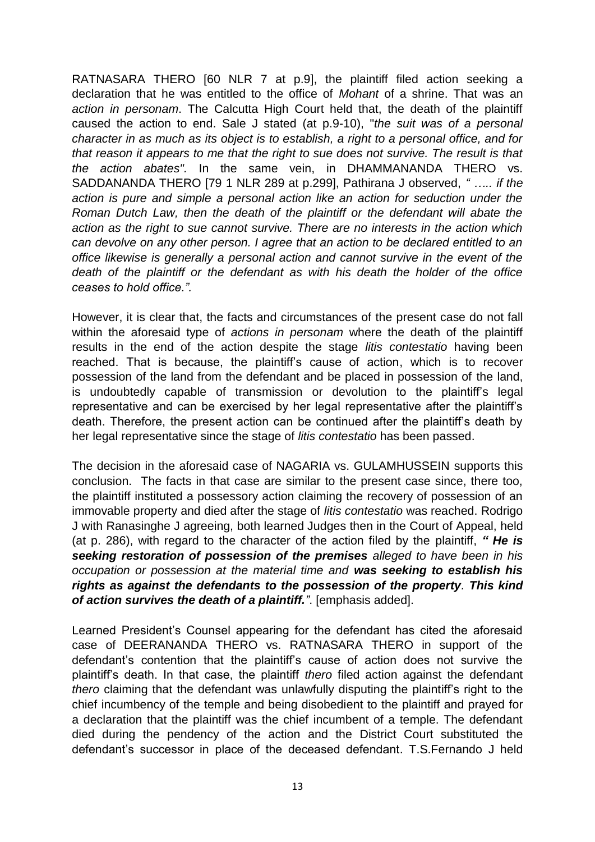RATNASARA THERO [60 NLR 7 at p.9], the plaintiff filed action seeking a declaration that he was entitled to the office of *Mohant* of a shrine. That was an *action in personam*. The Calcutta High Court held that, the death of the plaintiff caused the action to end. Sale J stated (at p.9-10), "*the suit was of a personal character in as much as its object is to establish, a right to a personal office, and for that reason it appears to me that the right to sue does not survive. The result is that the action abates".* In the same vein, in DHAMMANANDA THERO vs. SADDANANDA THERO [79 1 NLR 289 at p.299], Pathirana J observed, *" ….. if the action is pure and simple a personal action like an action for seduction under the Roman Dutch Law, then the death of the plaintiff or the defendant will abate the action as the right to sue cannot survive. There are no interests in the action which can devolve on any other person. I agree that an action to be declared entitled to an office likewise is generally a personal action and cannot survive in the event of the death of the plaintiff or the defendant as with his death the holder of the office ceases to hold office.".*

However, it is clear that, the facts and circumstances of the present case do not fall within the aforesaid type of *actions in personam* where the death of the plaintiff results in the end of the action despite the stage *litis contestatio* having been reached. That is because, the plaintiff's cause of action, which is to recover possession of the land from the defendant and be placed in possession of the land, is undoubtedly capable of transmission or devolution to the plaintiff's legal representative and can be exercised by her legal representative after the plaintiff's death. Therefore, the present action can be continued after the plaintiff's death by her legal representative since the stage of *litis contestatio* has been passed.

The decision in the aforesaid case of NAGARIA vs. GULAMHUSSEIN supports this conclusion. The facts in that case are similar to the present case since, there too, the plaintiff instituted a possessory action claiming the recovery of possession of an immovable property and died after the stage of *litis contestatio* was reached. Rodrigo J with Ranasinghe J agreeing, both learned Judges then in the Court of Appeal, held (at p. 286), with regard to the character of the action filed by the plaintiff, *" He is seeking restoration of possession of the premises alleged to have been in his occupation or possession at the material time and was seeking to establish his rights as against the defendants to the possession of the property. This kind of action survives the death of a plaintiff."*. [emphasis added].

Learned President's Counsel appearing for the defendant has cited the aforesaid case of DEERANANDA THERO vs. RATNASARA THERO in support of the defendant's contention that the plaintiff's cause of action does not survive the plaintiff's death. In that case, the plaintiff *thero* filed action against the defendant *thero* claiming that the defendant was unlawfully disputing the plaintiff's right to the chief incumbency of the temple and being disobedient to the plaintiff and prayed for a declaration that the plaintiff was the chief incumbent of a temple. The defendant died during the pendency of the action and the District Court substituted the defendant's successor in place of the deceased defendant. T.S.Fernando J held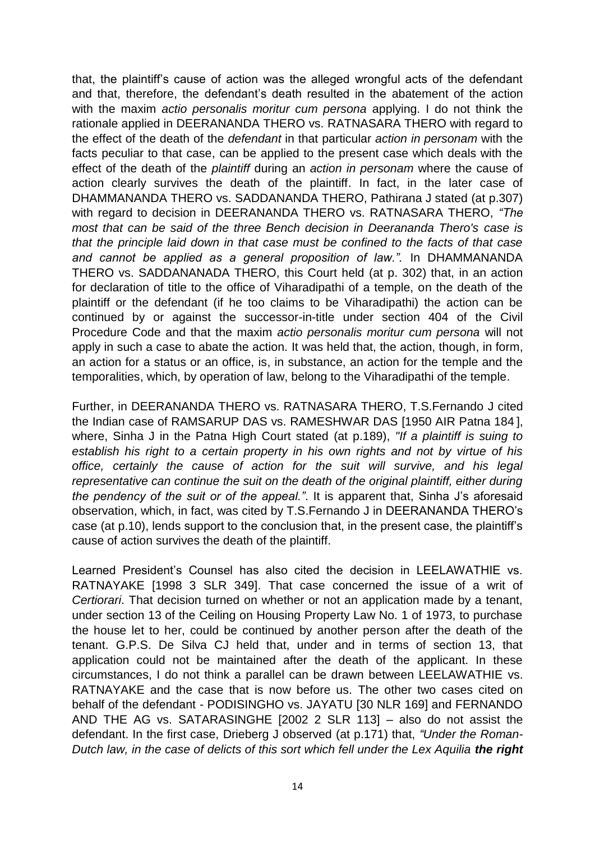that, the plaintiff's cause of action was the alleged wrongful acts of the defendant and that, therefore, the defendant's death resulted in the abatement of the action with the maxim *actio personalis moritur cum persona* applying. I do not think the rationale applied in DEERANANDA THERO vs. RATNASARA THERO with regard to the effect of the death of the *defendant* in that particular *action in personam* with the facts peculiar to that case, can be applied to the present case which deals with the effect of the death of the *plaintiff* during an *action in personam* where the cause of action clearly survives the death of the plaintiff. In fact, in the later case of DHAMMANANDA THERO vs. SADDANANDA THERO, Pathirana J stated (at p.307) with regard to decision in DEERANANDA THERO vs. RATNASARA THERO, *"The most that can be said of the three Bench decision in Deerananda Thero's case is that the principle laid down in that case must be confined to the facts of that case and cannot be applied as a general proposition of law.".* In DHAMMANANDA THERO vs. SADDANANADA THERO, this Court held (at p. 302) that, in an action for declaration of title to the office of Viharadipathi of a temple, on the death of the plaintiff or the defendant (if he too claims to be Viharadipathi) the action can be continued by or against the successor-in-title under section 404 of the Civil Procedure Code and that the maxim *actio personalis moritur cum persona* will not apply in such a case to abate the action. It was held that, the action, though, in form, an action for a status or an office, is, in substance, an action for the temple and the temporalities, which, by operation of law, belong to the Viharadipathi of the temple.

Further, in DEERANANDA THERO vs. RATNASARA THERO, T.S.Fernando J cited the Indian case of RAMSARUP DAS vs. RAMESHWAR DAS [1950 AIR Patna 184 ], where, Sinha J in the Patna High Court stated (at p.189), *"If a plaintiff is suing to establish his right to a certain property in his own rights and not by virtue of his office, certainly the cause of action for the suit will survive, and his legal representative can continue the suit on the death of the original plaintiff, either during the pendency of the suit or of the appeal."*. It is apparent that, Sinha J's aforesaid observation, which, in fact, was cited by T.S.Fernando J in DEERANANDA THERO's case (at p.10), lends support to the conclusion that, in the present case, the plaintiff's cause of action survives the death of the plaintiff.

Learned President's Counsel has also cited the decision in LEELAWATHIE vs. RATNAYAKE [1998 3 SLR 349]. That case concerned the issue of a writ of *Certiorari*. That decision turned on whether or not an application made by a tenant, under section 13 of the Ceiling on Housing Property Law No. 1 of 1973, to purchase the house let to her, could be continued by another person after the death of the tenant. G.P.S. De Silva CJ held that, under and in terms of section 13, that application could not be maintained after the death of the applicant. In these circumstances, I do not think a parallel can be drawn between LEELAWATHIE vs. RATNAYAKE and the case that is now before us. The other two cases cited on behalf of the defendant - PODISINGHO vs. JAYATU [30 NLR 169] and FERNANDO AND THE AG vs. SATARASINGHE [2002 2 SLR 113] – also do not assist the defendant. In the first case, Drieberg J observed (at p.171) that, *"Under the Roman-Dutch law, in the case of delicts of this sort which fell under the Lex Aquilia the right*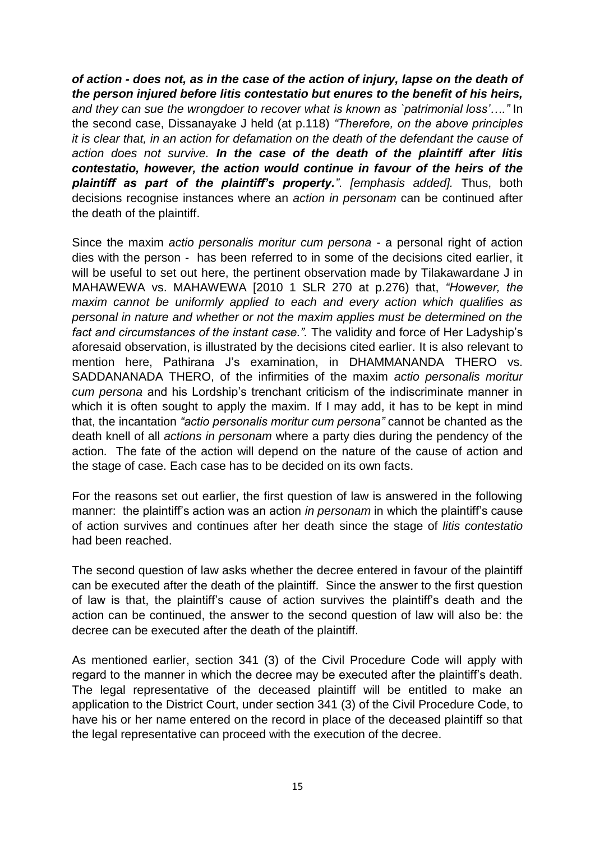*of action - does not, as in the case of the action of injury, lapse on the death of the person injured before litis contestatio but enures to the benefit of his heirs, and they can sue the wrongdoer to recover what is known as `patrimonial loss'…."* In the second case, Dissanayake J held (at p.118) *"Therefore, on the above principles it is clear that, in an action for defamation on the death of the defendant the cause of action does not survive. In the case of the death of the plaintiff after litis contestatio, however, the action would continue in favour of the heirs of the plaintiff as part of the plaintiff's property."*. *[emphasis added].* Thus, both decisions recognise instances where an *action in personam* can be continued after the death of the plaintiff.

Since the maxim *actio personalis moritur cum persona -* a personal right of action dies with the person *-* has been referred to in some of the decisions cited earlier, it will be useful to set out here, the pertinent observation made by Tilakawardane J in MAHAWEWA vs. MAHAWEWA [2010 1 SLR 270 at p.276) that, *"However, the maxim cannot be uniformly applied to each and every action which qualifies as personal in nature and whether or not the maxim applies must be determined on the fact and circumstances of the instant case.".* The validity and force of Her Ladyship's aforesaid observation, is illustrated by the decisions cited earlier. It is also relevant to mention here, Pathirana J's examination, in DHAMMANANDA THERO vs. SADDANANADA THERO, of the infirmities of the maxim *actio personalis moritur cum persona* and his Lordship's trenchant criticism of the indiscriminate manner in which it is often sought to apply the maxim. If I may add, it has to be kept in mind that, the incantation *"actio personalis moritur cum persona"* cannot be chanted as the death knell of all *actions in personam* where a party dies during the pendency of the action*.* The fate of the action will depend on the nature of the cause of action and the stage of case. Each case has to be decided on its own facts.

For the reasons set out earlier, the first question of law is answered in the following manner: the plaintiff's action was an action *in personam* in which the plaintiff's cause of action survives and continues after her death since the stage of *litis contestatio* had been reached.

The second question of law asks whether the decree entered in favour of the plaintiff can be executed after the death of the plaintiff. Since the answer to the first question of law is that, the plaintiff's cause of action survives the plaintiff's death and the action can be continued, the answer to the second question of law will also be: the decree can be executed after the death of the plaintiff.

As mentioned earlier, section 341 (3) of the Civil Procedure Code will apply with regard to the manner in which the decree may be executed after the plaintiff's death. The legal representative of the deceased plaintiff will be entitled to make an application to the District Court, under section 341 (3) of the Civil Procedure Code, to have his or her name entered on the record in place of the deceased plaintiff so that the legal representative can proceed with the execution of the decree.